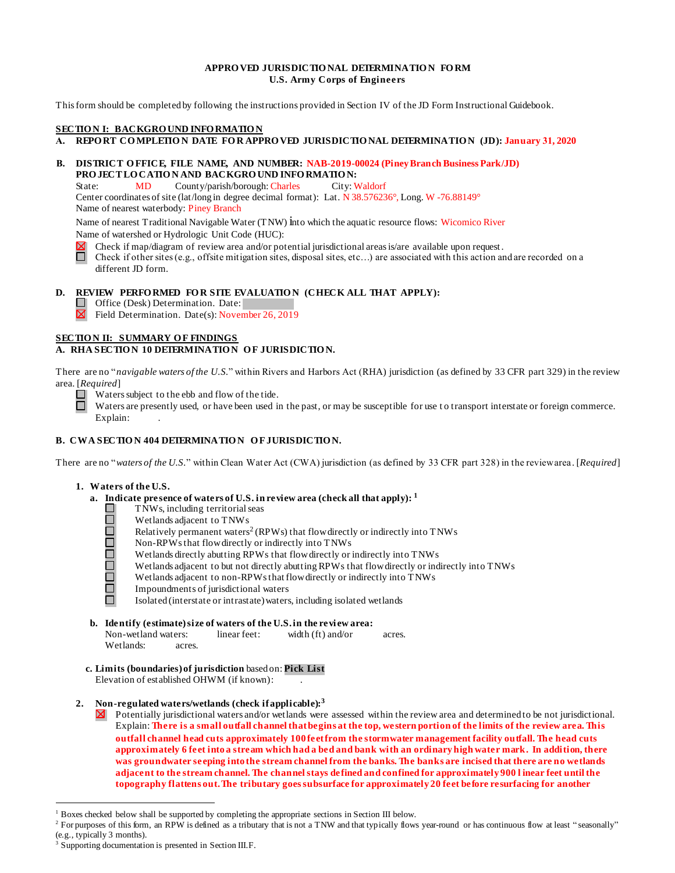## **APPRO VED JURISDICTIONAL DETERMINATION FORM U.S. Army Corps of Engineers**

This form should be completed by following the instructions provided in Section IV of the JD Form Instructional Guidebook.

# **SECTION I: BACKGROUND INFO RMATION**

# **A. REPO RT COMPLETIO N DATE FO R APPRO VED JURISDICTIO NAL DETERMINATIO N (JD): January 31, 2020**

## **B. DISTRICT OFFICE, FILE NAME, AND NUMBER: NAB-2019-00024 (Piney Branch Business Park/JD) PROJECT LOCATIO N AND BACKGRO UND INFO RMATIO N:**

State: MD County/parish/borough: Charles City: Waldorf Center coordinates of site (lat/long in degree decimal format): Lat. N 38.576236°, Long. W -76.88149° Name of nearest waterbody: Piney Branch

Name of nearest Traditional Navigable Water (TNW) into which the aquatic resource flows: Wicomico River Name of watershed or Hydrologic Unit Code (HUC):

Check if map/diagram of review area and/or potential jurisdictional areas is/are available upon request .

 $\Box$ Check if other sites (e.g., offsite mitigation sites, disposal sites, etc…) are associated with this action and are recorded on a different JD form.

# **D.** REVIEW PERFORMED FOR SITE EVALUATION (CHECK ALL THAT APPLY):

Office (Desk) Determination. Date:

 $\boxtimes$  Field Determination. Date(s): November 26, 2019

# **SECTION II: SUMMARY OF FINDINGS**

## A. RHA SECTION 10 DETERMINATION OF JURISDICTION.

There are no "*navigable waters of the U.S.*" within Rivers and Harbors Act (RHA) jurisdiction (as defined by 33 CFR part 329) in the review area. [*Required*]

 $\Box$ Waters subject to the ebb and flow of the tide.

 $\Box$ Waters are presently used, or have been used in the past, or may be susceptible for use to transport interstate or foreign commerce. Explain:

# **B. CWA SECTION 404 DETERMINATION OF JURISDICTION.**

There are no "*waters of the U.S.*" within Clean Water Act (CWA) jurisdiction (as defined by 33 CFR part 328) in the review area. [*Required*]

#### **1. Waters of the U.S.**

- **a. Indicate presence of waters of U.S. in review area (check all that apply): <sup>1</sup>**
	- $\Box$ TNWs, including territorial seas  $\Box$ 
		- Wetlands adjacent to TNWs
		- Relatively permanent waters<sup>2</sup> (RPWs) that flow directly or indirectly into TNWs
	- **000000** Non-RPWs that flowdirectly or indirectly into TNWs
		- Wetlands directly abutting RPWs that flowdirectly or indirectly into TNWs
		- Wetlands adjacent to but not directly abutting RPWs that flowdirectly or indirectly into TNWs
		- Wetlands adjacent to non-RPWs that flowdirectly or indirectly into TNWs
		- Impoundments of jurisdictional waters
		- Isolated (interstate or intrastate)waters, including isolated wetlands
- **b. Identify (estimate) size of waters of the U.S. in the review area:** Non-wetland waters: linear feet: width (ft) and/or acres. Wetlands: acres.
- **c. Limits (boundaries) of jurisdiction** based on: **Pick List** Elevation of established OHWM (if known): .

## **2. Non-regulated waters/wetlands (check if applicable):<sup>3</sup>**

 $\boxtimes$ Potentially jurisdictional waters and/or wetlands were assessed within the review area and determined to be not jurisdictional. Explain: **There is a small outfall channel that begins at the top, western portion of the limits of the review area. This outfall channel head cuts approximately 100 feet from the stormwater management facility outfall. The head cuts approximately 6 feet into a stream which had a bed and bank with an ordinary high water mark. In addition, there was groundwater seeping into the stream channel from the banks. The banks are incised that there are no wetlands adjacent to the stream channel. The channel stays defined and confined for approximately 900 l inear feet until the topography flattens out. The tributary goes subsurface for approximately 20 feet before resurfacing for another** 

<sup>1</sup> Boxes checked below shall be supported by completing the appropriate sections in Section III below.

<sup>&</sup>lt;sup>2</sup> For purposes of this form, an RPW is defined as a tributary that is not a TNW and that typically flows year-round or has continuous flow at least "seasonally" (e.g., typically 3 months).

<sup>&</sup>lt;sup>3</sup> Supporting documentation is presented in Section III.F.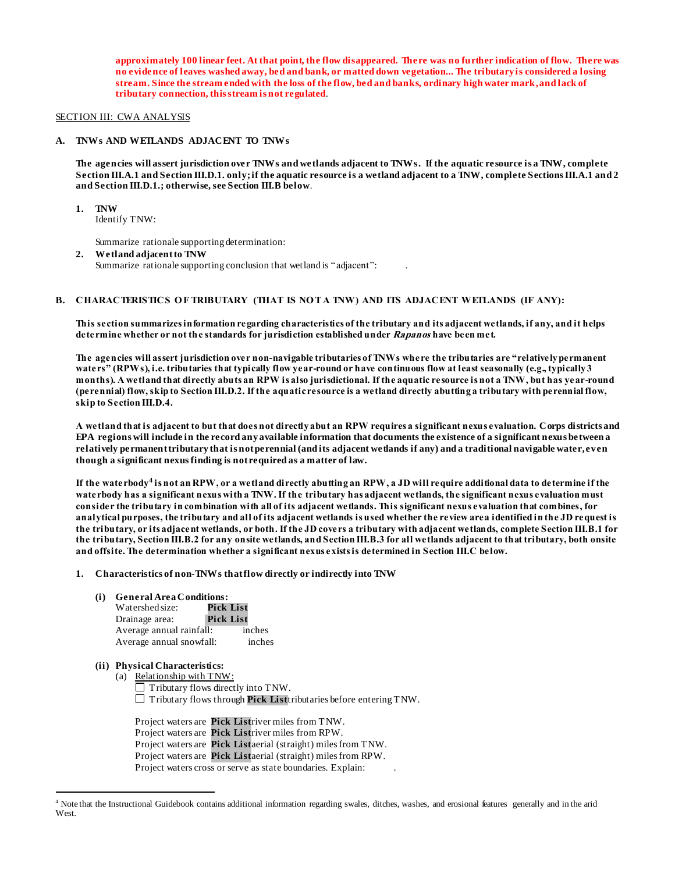**approximately 100 linear feet. At that point, the flow disappeared. There was no further indication of flow. There was no evidence of leaves washed away, bed and bank, or matted down vegetation... The tributary is considered a losing stream. Since the stream ended with the loss of the flow, bed and banks, ordinary high water mark, and lack of tributary connection, this stream is not regulated**.

#### SECTION III: CWA ANALYSIS

## **A. TNWs AND WETLANDS ADJACENT TO TNWs**

**The agencies will assert jurisdiction over TNWs and wetlands adjacent to TNWs. If the aquatic resource is a TNW, complete Section III.A.1 and Section III.D.1. only; if the aquatic resource is a wetland adjacent to a TNW, complete Sections III.A.1 and 2 and Section III.D.1.; otherwise, see Section III.B below**.

**1. TNW** 

Identify TNW:

Summarize rationale supporting determination:

**2. Wetland adjacentto TNW**  Summarize rationale supporting conclusion that wetland is "adjacent": .

#### B. CHARACTERISTICS OF TRIBUTARY (THAT IS NOT A TNW) AND ITS ADJACENT WETLANDS (IF ANY)**:**

**This section summarizes information regarding characteristics of the tributary and its adjacent wetlands, if any, and it helps determine whether or not the standards for jurisdiction established under Rapanos have been met.** 

**The agencies will assert jurisdiction over non-navigable tributaries of TNWs where the tributaries are "relatively permanent waters" (RPWs), i.e. tributaries that typically flow year-round or have continuous flow at least seasonally (e.g., typically 3 months). A wetland that directly abuts an RPW is also jurisdictional. If the aquatic resource is not a TNW, but has year-round (perennial) flow, skip to Section III.D.2. If the aquatic resource is a wetland directly abutting a tributary with perennial flow, skip to Section III.D.4.**

**A wetland that is adjacent to but that does not directly abut an RPW requires a significant nexus evaluation. Corps districts and EPA regions will include in the record any available information that documents the existence of a significant nexus between a relatively permanent tributary that is not perennial (and its adjacent wetlands if any) and a traditional navigable water, even though a significant nexus finding is not required as a matter of law.**

**If the waterbody<sup>4</sup> is not an RPW, or a wetland directly abutting an RPW, a JD will require additional data to determine if the waterbody has a significant nexus with a TNW. If the tributary has adjacent wetlands, the significant nexus evaluation must consider the tributary in combination with all of its adjacent wetlands. This significant nexus evaluation that combines, for analytical purposes, the tributary and all of its adjacent wetlands is used whether the review area identified in the JD request is the tributary, or its adjacent wetlands, or both. If the JD covers a tributary with adjacent wetlands, complete Section III.B.1 for the tributary, Section III.B.2 for any onsite wetlands, and Section III.B.3 for all wetlands adjacent to that tributary, both onsite and offsite. The determination whether a significant nexus exists is determined in Section III.C below.**

#### **1. Characteristics of non-TNWs thatflow directly or indirectly into TNW**

**(i) General AreaConditions:**

| Watershed size:          | Pick List        |        |
|--------------------------|------------------|--------|
| Drainage area:           | <b>Pick List</b> |        |
| Average annual rainfall: |                  | inches |
| Average annual snowfall: |                  | inches |

# **(ii) Physical Characteristics:**

l

(a) Relationship with TNW:  $\Box$  Tributary flows directly into TNW. Tributary flows through **Pick List**tributaries before entering TNW.

Project waters are **Pick List**river miles from TNW. Project waters are **Pick List**river miles from RPW. Project waters are **Pick List**aerial (straight) miles from TNW. Project waters are **Pick List**aerial (straight) miles from RPW. Project waters cross or serve as state boundaries. Explain:

<sup>4</sup> Note that the Instructional Guidebook contains additional information regarding swales, ditches, washes, and erosional features generally and in the arid West.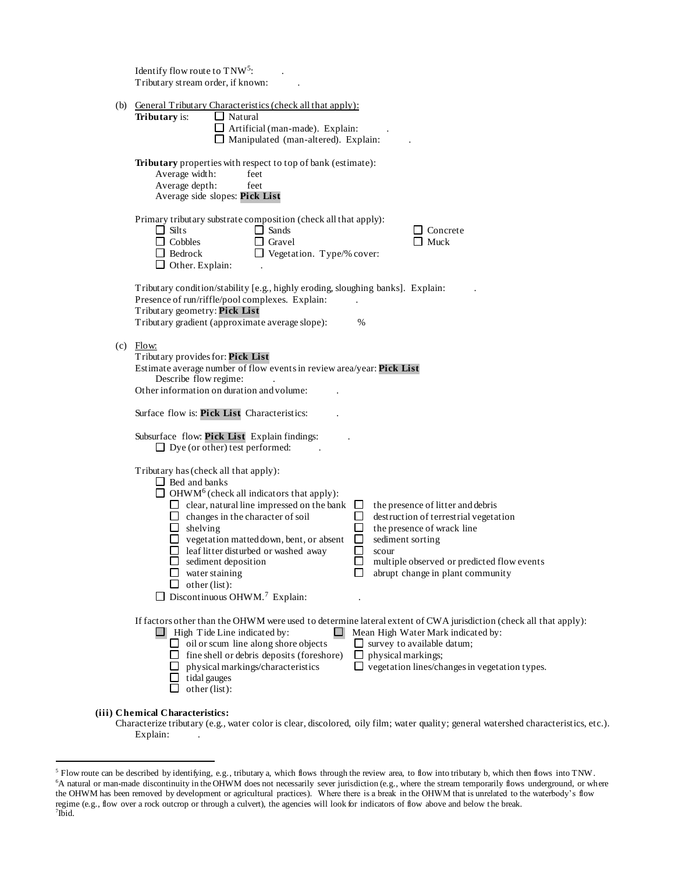|     | Identify flow route to TNW <sup>5</sup> :<br>Tributary stream order, if known:                                                                                                                                                                                                                                                                                                                                                                                                                                                                                                                                                                                                                                                                |
|-----|-----------------------------------------------------------------------------------------------------------------------------------------------------------------------------------------------------------------------------------------------------------------------------------------------------------------------------------------------------------------------------------------------------------------------------------------------------------------------------------------------------------------------------------------------------------------------------------------------------------------------------------------------------------------------------------------------------------------------------------------------|
| (b) | General Tributary Characteristics (check all that apply):<br>Tributary is:<br>$\Box$ Natural<br>$\Box$ Artificial (man-made). Explain:<br>Manipulated (man-altered). Explain:                                                                                                                                                                                                                                                                                                                                                                                                                                                                                                                                                                 |
|     | Tributary properties with respect to top of bank (estimate):<br>Average width:<br>feet<br>Average depth:<br>feet<br>Average side slopes: Pick List                                                                                                                                                                                                                                                                                                                                                                                                                                                                                                                                                                                            |
|     | Primary tributary substrate composition (check all that apply):<br>$\Box$ Silts<br>$\Box$ Sands<br>$\Box$ Concrete<br>Muck<br>$\Box$ Cobbles<br>$\Box$ Gravel<br>$\Box$ Bedrock<br>$\Box$ Vegetation. Type/% cover:<br>$\Box$ Other. Explain:                                                                                                                                                                                                                                                                                                                                                                                                                                                                                                 |
|     | Tributary condition/stability [e.g., highly eroding, sloughing banks]. Explain:<br>Presence of run/riffle/pool complexes. Explain:<br>Tributary geometry: Pick List<br>Tributary gradient (approximate average slope):<br>%                                                                                                                                                                                                                                                                                                                                                                                                                                                                                                                   |
| (c) | Flow:<br>Tributary provides for: Pick List<br>Estimate average number of flow events in review area/year: Pick List<br>Describe flow regime:<br>Other information on duration and volume:<br>Surface flow is: Pick List Characteristics:                                                                                                                                                                                                                                                                                                                                                                                                                                                                                                      |
|     | Subsurface flow: Pick List Explain findings:<br>$\Box$ Dye (or other) test performed:                                                                                                                                                                                                                                                                                                                                                                                                                                                                                                                                                                                                                                                         |
|     | Tributary has (check all that apply):<br>$\Box$ Bed and banks<br>$\Box$ OHWM <sup>6</sup> (check all indicators that apply):<br>$\Box$ clear, natural line impressed on the bank<br>ப<br>the presence of litter and debris<br>$\Box$<br>$\Box$ changes in the character of soil<br>destruction of terrestrial vegetation<br>$\Box$ shelving<br>П<br>the presence of wrack line<br>$\Box$ vegetation matted down, bent, or absent<br>$\Box$<br>sediment sorting<br>$\Box$ leaf litter disturbed or washed away<br>$\mathsf{L}$<br>scour<br>multiple observed or predicted flow events<br>$\Box$ sediment deposition<br>water staining<br>abrupt change in plant community<br>other (list):<br>$\Box$ Discontinuous OHWM. <sup>7</sup> Explain: |
|     | If factors other than the OHWM were used to determine lateral extent of CWA jurisdiction (check all that apply):<br>High Tide Line indicated by:<br>Mean High Water Mark indicated by:<br>$\Box$ oil or scum line along shore objects<br>survey to available datum;<br>ப<br>$\Box$ fine shell or debris deposits (foreshore)<br>Ш<br>physical markings;<br>$\Box$ vegetation lines/changes in vegetation types.<br>physical markings/characteristics<br>tidal gauges<br>other (list):                                                                                                                                                                                                                                                         |
|     | (iii) Chemical Characteristics:                                                                                                                                                                                                                                                                                                                                                                                                                                                                                                                                                                                                                                                                                                               |

Characterize tributary (e.g., water color is clear, discolored, oily film; water quality; general watershed characteristics, etc.). Explain: .

l

 $5$  Flow route can be described by identifying, e.g., tributary a, which flows through the review area, to flow into tributary b, which then flows into TNW. <sup>6</sup>A natural or man-made discontinuity in the OHWM does not necessarily sever jurisdiction (e.g., where the stream temporarily flows underground, or where the OHWM has been removed by development or agricultural practices). Where there is a break in the OHWM that is unrelated to the waterbody's flow regime (e.g., flow over a rock outcrop or through a culvert), the agencies will look for indicators of flow above and below the break.<br><sup>7</sup>Ibid.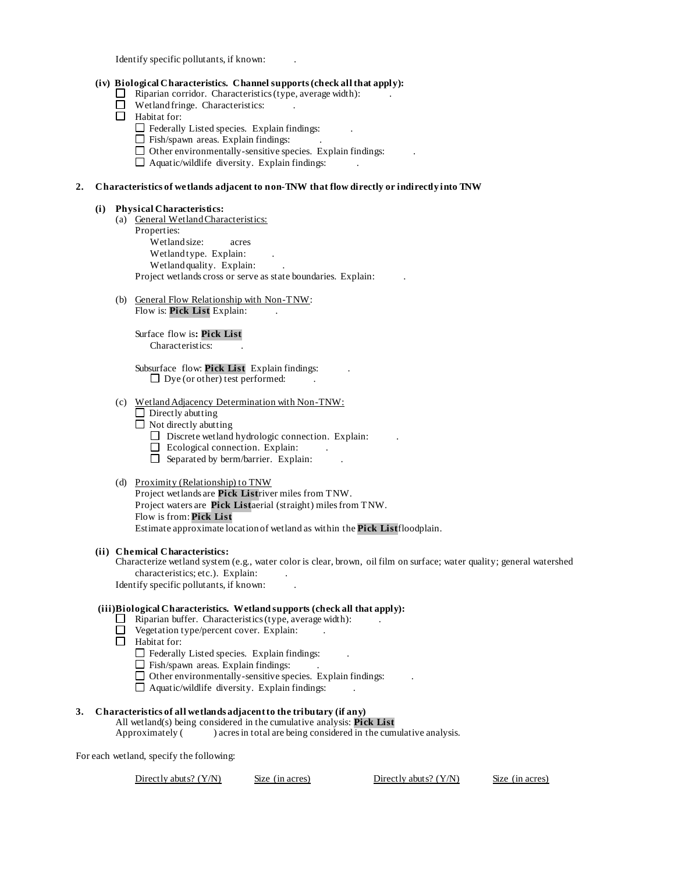Identify specific pollutants, if known: .

## **(iv) Biological Characteristics. Channel supports(check all that apply):**

- $\Box$  Riparian corridor. Characteristics (type, average width):
- $\Box$  Wetland fringe. Characteristics:
- Habitat for:
	- $\Box$  Federally Listed species. Explain findings:
	- $\Box$  Fish/spawn areas. Explain findings:
	- $\Box$  Other environmentally-sensitive species. Explain findings:
	- $\Box$  Aquatic/wildlife diversity. Explain findings:

## **2. Characteristics of wetlands adjacent to non-TNW that flow directly or indirectly into TNW**

#### **(i) Physical Characteristics:**

- (a) General Wetland Characteristics:
	- Properties: Wetland size: acres Wetland type. Explain: Wetland quality. Explain: Project wetlands cross or serve as state boundaries. Explain: .
- (b) General Flow Relationship with Non-TNW: Flow is: **Pick List** Explain:

Surface flow is**: Pick List**  Characteristics: .

Subsurface flow: **Pick List**. Explain findings: .  $\Box$  Dye (or other) test performed:

- (c) Wetland Adjacency Determination with Non-TNW:
	- $\Box$  Directly abutting
	- $\Box$  Not directly abutting
		- $\Box$  Discrete wetland hydrologic connection. Explain:
		- $\Box$  Ecological connection. Explain:
		- $\Box$  Separated by berm/barrier. Explain:

#### (d) Proximity (Relationship) to TNW

Project wetlands are **Pick List**river miles from TNW. Project waters are **Pick List**aerial (straight) miles from TNW. Flow is from: **Pick List.** Estimate approximate location of wetland as within the **Pick List**floodplain.

#### **(ii) Chemical Characteristics:**

Characterize wetland system (e.g., water color is clear, brown, oil film on surface; water quality; general watershed characteristics; etc.). Explain:

Identify specific pollutants, if known: .

## **(iii)Biological Characteristics. Wetland supports (check all that apply):**

- $\Box$  Riparian buffer. Characteristics (type, average width):
- $\Box$  Vegetation type/percent cover. Explain:
- $\Box$  Habitat for:
	- $\Box$  Federally Listed species. Explain findings:
	- $\Box$  Fish/spawn areas. Explain findings:
	- $\Box$  Other environmentally-sensitive species. Explain findings:
	- $\Box$  Aquatic/wildlife diversity. Explain findings:

## **3. Characteristics of all wetlands adjacent to the tributary (if any)**

# All wetland(s) being considered in the cumulative analysis: **Pick List**

Approximately ( ) acres in total are being considered in the cumulative analysis.

For each wetland, specify the following:

Directly abuts? (Y/N) Size (in acres) Directly abuts? (Y/N) Size (in acres)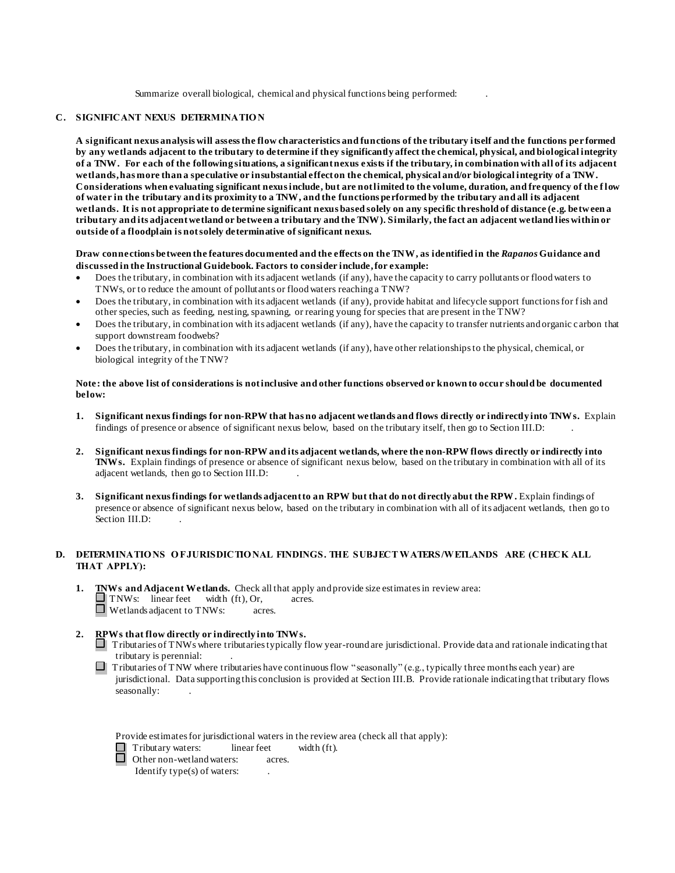Summarize overall biological, chemical and physical functions being performed: .

#### **C. SIGNIFICANT NEXUS DETERMINATIO N**

**A significant nexus analysis will assess the flow characteristics and functions of the tributary itself and the functions per formed by any wetlands adjacent to the tributary to determine if they significantly affect the chemical, physical, and biological integrity of a TNW. For each of the following situations, a significant nexus exists if the tributary, in combination with all of its adjacent wetlands, has more than a speculative or insubstantial effect on the chemical, physical and/or biological integrity of a TNW. Considerations when evaluating significant nexus include, but are not limited to the volume, duration, and frequency of the f low of water in the tributary and its proximity to a TNW, and the functions performed by the tributary and all its adjacent wetlands. It is not appropriate to determine significant nexus based solely on any specific threshold of distance (e.g. between a tributary and its adjacent wetland or between a tributary and the TNW). Similarly, the fact an adjacent wetland lies within or outside of a floodplain is not solely determinative of significant nexus.** 

**Draw connections between the features documented and the effects on the TNW, as identified in the** *Rapanos* **Guidance and discussed in the Instructional Guidebook. Factors to consider include, for example:**

- Does the tributary, in combination with its adjacent wetlands (if any), have the capacity to carry pollutants or flood waters to TNWs, or to reduce the amount of pollutants or flood waters reaching a TNW?
- Does the tributary, in combination with its adjacent wetlands (if any), provide habitat and lifecycle support functions for fish and other species, such as feeding, nesting, spawning, or rearing young for species that are present in the TNW?
- Does the tributary, in combination with its adjacent wetlands (if any), have the capacity to transfer nutrients and organic c arbon that support downstream foodwebs?
- Does the tributary, in combination with its adjacent wetlands (if any), have other relationships to the physical, chemical, or biological integrity of the TNW?

#### **Note: the above list of considerations is not inclusive and other functions observed or known to occur should be documented below:**

- **1. Significant nexus findings for non-RPW that has no adjacent wetlands and flows directly or indirectly into TNWs.** Explain findings of presence or absence of significant nexus below, based on the tributary itself, then go to Section III.D: .
- **2. Significant nexus findings for non-RPW and its adjacent wetlands, where the non-RPW flows directly or indirectly into TNWs.** Explain findings of presence or absence of significant nexus below, based on the tributary in combination with all of its adjacent wetlands, then go to Section III.D: .
- **3. Significant nexus findings for wetlands adjacent to an RPW but that do not directly abut the RPW.** Explain findings of presence or absence of significant nexus below, based on the tributary in combination with all of its adjacent wetlands, then go to Section III.D:

## **D.** DETERMINATIONS OF JURISDICTIONAL FINDINGS. THE SUBJECT WATERS/WETLANDS ARE (CHECK ALL **THAT APPLY):**

- **1. TNWs and Adjacent Wetlands.** Check all that apply and provide size estimates in review area: TNWs: linear feet width (ft), Or, acres. Wetlands adjacent to TNWs: acres.
- **2. RPWs that flow directly or indirectly into TNWs.**

Tributaries of TNWs where tributaries typically flow year-round are jurisdictional. Provide data and rationale indicating that tributary is perennial: .

 $\Box$  Tributaries of TNW where tributaries have continuous flow "seasonally" (e.g., typically three months each year) are jurisdictional. Data supporting this conclusion is provided at Section III.B. Provide rationale indicating that tributary flows seasonally:

Provide estimates for jurisdictional waters in the review area (check all that apply):

Tributary waters: linear feet width (ft).

**<u>I</u>** Other non-wetland waters: acres.

Identify type(s) of waters: .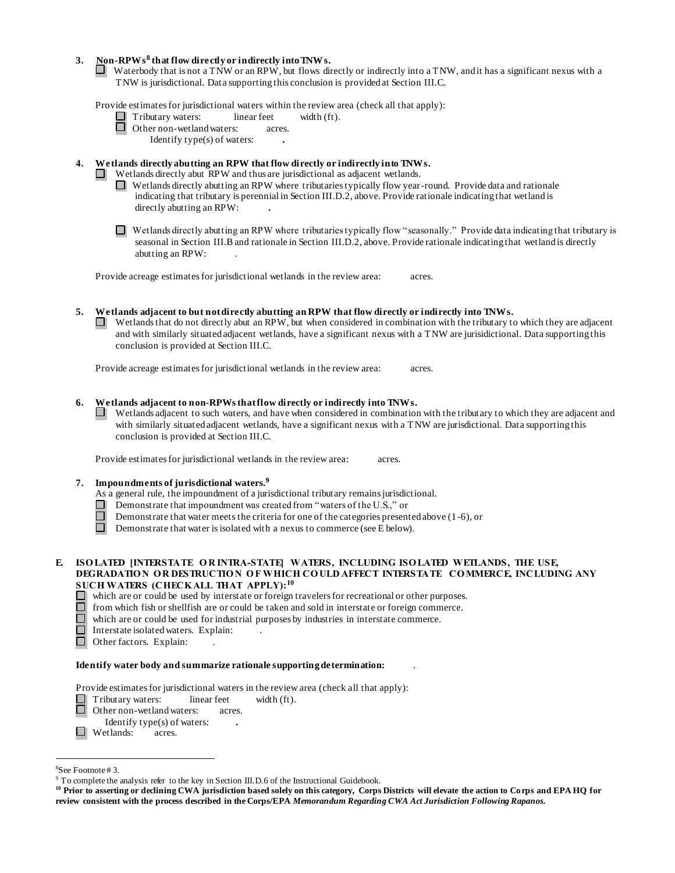# **3. Non-RPWs<sup>8</sup> that flow directly or indirectly into TNWs.**

Waterbody that is not a TNW or an RPW, but flows directly or indirectly into a TNW, and it has a significant nexus with a TNW is jurisdictional. Data supporting this conclusion is provided at Section III.C.

Provide estimates for jurisdictional waters within the review area (check all that apply):

 $\Box$  Tributary waters: linear feet width (ft).<br> $\Box$  Other non-wetland waters: acres.

Other non-wetland waters: acres.

Identify type(s) of waters: **.**

# **4. Wetlands directly abutting an RPW that flow directly or indirectly into TNWs.**

- Wetlands directly abut RPW and thus are jurisdictional as adjacent wetlands.
- $\Box$  Wetlands directly abutting an RPW where tributaries typically flow year-round. Provide data and rationale indicating that tributary is perennial in Section III.D.2, above. Provide rationale indicating that wetland is directly abutting an RPW: **.**

Wetlands directly abutting an RPW where tributaries typically flow "seasonally." Provide data indicating that tributary is seasonal in Section III.B and rationale in Section III.D.2, above. Provide rationale indicating that wetland is directly abutting an RPW: .

Provide acreage estimates for jurisdictional wetlands in the review area: acres.

**5. Wetlands adjacent to but not directly abutting an RPW that flow directly or indirectly into TNWs.** Wetlands that do not directly abut an RPW, but when considered in combination with the tributary to which they are adjacent and with similarly situated adjacent wetlands, have a significant nexus with a TNW are jurisidictional. Data supporting this conclusion is provided at Section III.C.

Provide acreage estimates for jurisdictional wetlands in the review area: acres.

## **6. Wetlands adjacent to non-RPWsthatflow directly or indirectly into TNWs.**

Wetlands adjacent to such waters, and have when considered in combination with the tributary to which they are adjacent and with similarly situated adjacent wetlands, have a significant nexus with a TNW are jurisdictional. Data supporting this conclusion is provided at Section III.C.

Provide estimates for jurisdictional wetlands in the review area: acres.

## **7. Impoundments of jurisdictional waters. 9**

As a general rule, the impoundment of a jurisdictional tributary remains jurisdictional.

- Demonstrate that impoundment was created from "waters of the U.S.," or
- Demonstrate that water meets the criteria for one of the categories presented above (1-6), or
- П. Demonstrate that water is isolated with a nexus to commerce (see E below).

# **E. ISO LATED [INTERSTATE OR INTRA-STATE] WATERS, INCLUDING ISO LATED WETLANDS, THE USE, DEGRADATIO N O R DESTRUCTIO N O F WHICH CO ULD AFFECT INTERSTATE CO MMERCE, INCLUDING ANY SUCH WATERS (CHECK ALL THAT APPLY):<sup>10</sup>**

- $\Box$  which are or could be used by interstate or foreign travelers for recreational or other purposes.
- $\Box$  from which fish or shellfish are or could be taken and sold in interstate or foreign commerce.<br> $\Box$  which are or could be used for industrial purposes by industries in interstate commerce.
- $\Box$  which are or could be used for industrial purposes by industries in interstate commerce.<br> $\Box$  Interstate isolated waters. Explain:
- Interstate isolated waters.Explain: .
- $\Box$  Other factors. Explain:

#### **Identify water body and summarize rationale supporting determination:** .

Provide estimates for jurisdictional waters in the review area (check all that apply):

Tributary waters: linear feet width (ft).  $\Box$ 

Other non-wetland waters: acres.

- Identify type(s) of waters: **.**
- **a Wetlands:** acres.

l

<sup>8</sup>See Footnote # 3.

<sup>&</sup>lt;sup>9</sup> To complete the analysis refer to the key in Section III.D.6 of the Instructional Guidebook.

**<sup>10</sup> Prior to asserting or declining CWA jurisdiction based solely on this category, Corps Districts will elevate the action to Corps and EPA HQ for review consistent with the process described in the Corps/EPA** *Memorandum Regarding CWA Act Jurisdiction Following Rapanos.*